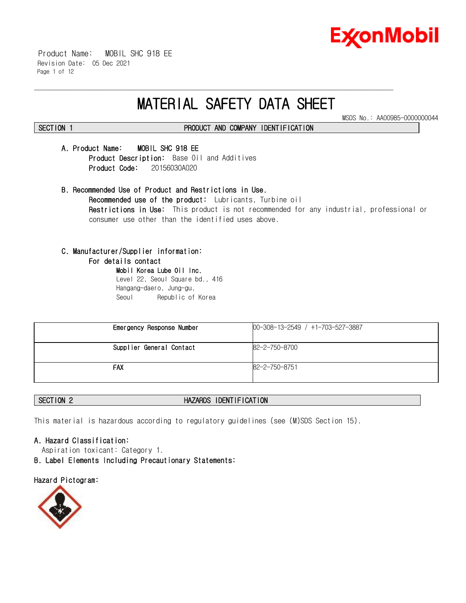

 Product Name: MOBIL SHC 918 EE Revision Date: 05 Dec 2021 Page 1 of 12

# **MATERIAL SAFETY DATA SHEET**

\_\_\_\_\_\_\_\_\_\_\_\_\_\_\_\_\_\_\_\_\_\_\_\_\_\_\_\_\_\_\_\_\_\_\_\_\_\_\_\_\_\_\_\_\_\_\_\_\_\_\_\_\_\_\_\_\_\_\_\_\_\_\_\_\_\_\_\_\_\_\_\_\_\_\_\_\_\_\_\_\_\_\_\_\_\_\_\_\_\_\_\_\_\_\_\_\_\_\_\_\_\_\_\_\_\_\_\_\_\_\_\_\_\_\_\_\_\_

MSDS No.: AA00985-0000000044

# **SECTION 1 PRODUCT AND COMPANY IDENTIFICATION**

# **A. Product Name: MOBIL SHC 918 EE**

**Product Description:** Base Oil and Additives  **Product Code:** 20156030A020

**B. Recommended Use of Product and Restrictions in Use. Recommended use of the product:** Lubricants, Turbine oil **Restrictions in Use:** This product is not recommended for any industrial, professional or consumer use other than the identified uses above.

# **C. Manufacturer/Supplier information:**

### **For details contact**

**Mobil Korea Lube Oil Inc.**  Level 22, Seoul Square bd., 416 Hangang-daero, Jung-gu, Seoul Republic of Korea

| Emergency Response Number | $[00-308-13-2549 / +1-703-527-3887]$ |
|---------------------------|--------------------------------------|
| Supplier General Contact  | 82-2-750-8700                        |
| <b>FAX</b>                | 82-2-750-8751                        |

# **SECTION 2 HAZARDS IDENTIFICATION**

This material is hazardous according to regulatory guidelines (see (M)SDS Section 15).

### **A. Hazard Classification:**

Aspiration toxicant: Category 1.

**B. Label Elements Including Precautionary Statements:**

### **Hazard Pictogram:**

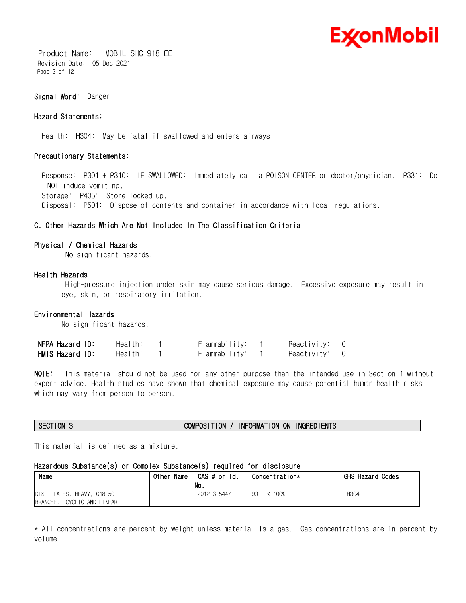

 Product Name: MOBIL SHC 918 EE Revision Date: 05 Dec 2021 Page 2 of 12

### **Signal Word:** Danger

#### **Hazard Statements:**

Health: H304: May be fatal if swallowed and enters airways.

#### **Precautionary Statements:**

 Response: P301 + P310: IF SWALLOWED: Immediately call a POISON CENTER or doctor/physician. P331: Do NOT induce vomiting. Storage: P405: Store locked up. Disposal: P501: Dispose of contents and container in accordance with local regulations.

\_\_\_\_\_\_\_\_\_\_\_\_\_\_\_\_\_\_\_\_\_\_\_\_\_\_\_\_\_\_\_\_\_\_\_\_\_\_\_\_\_\_\_\_\_\_\_\_\_\_\_\_\_\_\_\_\_\_\_\_\_\_\_\_\_\_\_\_\_\_\_\_\_\_\_\_\_\_\_\_\_\_\_\_\_\_\_\_\_\_\_\_\_\_\_\_\_\_\_\_\_\_\_\_\_\_\_\_\_\_\_\_\_\_\_\_\_\_

### **C. Other Hazards Which Are Not Included In The Classification Criteria**

#### **Physical / Chemical Hazards**

No significant hazards.

#### **Health Hazards**

High-pressure injection under skin may cause serious damage. Excessive exposure may result in eye, skin, or respiratory irritation.

#### **Environmental Hazards**

No significant hazards.

| NFPA Hazard ID: | Health: | Flammability: | Reactivity: | $\overline{0}$ |
|-----------------|---------|---------------|-------------|----------------|
| HMIS Hazard ID: | Health: | Flammability: | Reactivity: | $\overline{0}$ |

**NOTE:** This material should not be used for any other purpose than the intended use in Section 1 without expert advice. Health studies have shown that chemical exposure may cause potential human health risks which may vary from person to person.

#### **SECTION 3 COMPOSITION / INFORMATION ON INGREDIENTS**

This material is defined as a mixture.

# **Hazardous Substance(s) or Complex Substance(s) required for disclosure**

| Name                                                        | Name<br>Other            | CAS # or Id.<br>No. | Concentration* | GHS Hazard Codes |
|-------------------------------------------------------------|--------------------------|---------------------|----------------|------------------|
| DISTILLATES, HEAVY, C18-50 -<br>BRANCHED, CYCLIC AND LINEAR | $\overline{\phantom{0}}$ | 2012-3-5447         | $90 - 5100\%$  | H <sub>304</sub> |

\* All concentrations are percent by weight unless material is a gas. Gas concentrations are in percent by volume.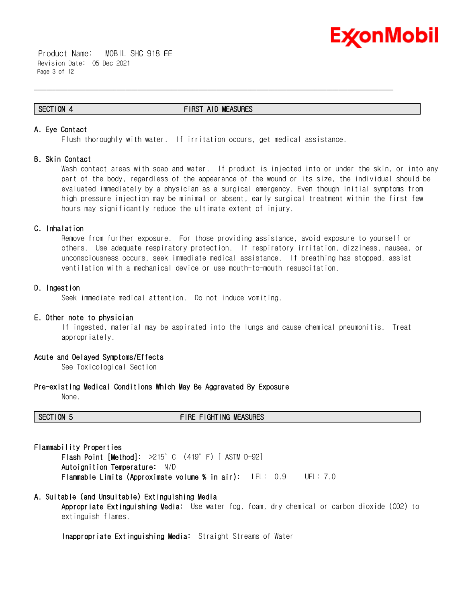

 Product Name: MOBIL SHC 918 EE Revision Date: 05 Dec 2021 Page 3 of 12

#### **SECTION 4 FIRST AID MEASURES**

\_\_\_\_\_\_\_\_\_\_\_\_\_\_\_\_\_\_\_\_\_\_\_\_\_\_\_\_\_\_\_\_\_\_\_\_\_\_\_\_\_\_\_\_\_\_\_\_\_\_\_\_\_\_\_\_\_\_\_\_\_\_\_\_\_\_\_\_\_\_\_\_\_\_\_\_\_\_\_\_\_\_\_\_\_\_\_\_\_\_\_\_\_\_\_\_\_\_\_\_\_\_\_\_\_\_\_\_\_\_\_\_\_\_\_\_\_\_

### **A. Eye Contact**

Flush thoroughly with water. If irritation occurs, get medical assistance.

#### **B. Skin Contact**

Wash contact areas with soap and water. If product is injected into or under the skin, or into any part of the body, regardless of the appearance of the wound or its size, the individual should be evaluated immediately by a physician as a surgical emergency. Even though initial symptoms from high pressure injection may be minimal or absent, early surgical treatment within the first few hours may significantly reduce the ultimate extent of injury.

### **C. Inhalation**

Remove from further exposure. For those providing assistance, avoid exposure to yourself or others. Use adequate respiratory protection. If respiratory irritation, dizziness, nausea, or unconsciousness occurs, seek immediate medical assistance. If breathing has stopped, assist ventilation with a mechanical device or use mouth-to-mouth resuscitation.

#### **D. Ingestion**

Seek immediate medical attention. Do not induce vomiting.

#### **E. Other note to physician**

If ingested, material may be aspirated into the lungs and cause chemical pneumonitis. Treat appropriately.

#### **Acute and Delayed Symptoms/Effects**

See Toxicological Section

#### **Pre-existing Medical Conditions Which May Be Aggravated By Exposure**

None.

#### **SECTION 5 FIRE FIGHTING MEASURES**

#### **Flammability Properties**

**Flash Point [Method]:** >215°C (419°F) [ ASTM D-92] **Autoignition Temperature:** N/D **Flammable Limits (Approximate volume % in air):** LEL: 0.9 UEL: 7.0

#### **A. Suitable (and Unsuitable) Extinguishing Media**

**Appropriate Extinguishing Media:** Use water fog, foam, dry chemical or carbon dioxide (CO2) to extinguish flames.

**Inappropriate Extinguishing Media:** Straight Streams of Water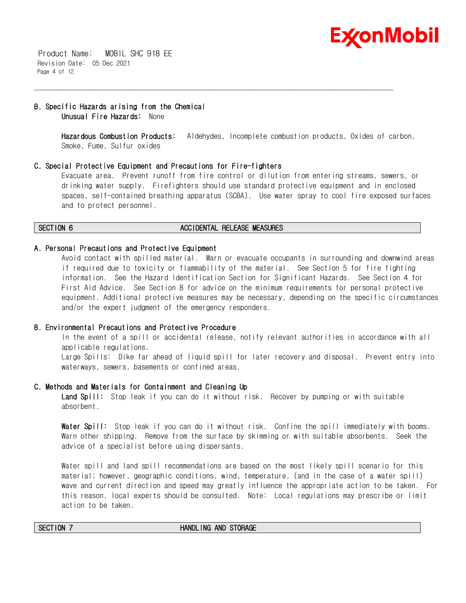

 Product Name: MOBIL SHC 918 EE Revision Date: 05 Dec 2021 Page 4 of 12

### **B. Specific Hazards arising from the Chemical Unusual Fire Hazards:** None

**Hazardous Combustion Products:** Aldehydes, Incomplete combustion products, Oxides of carbon, Smoke, Fume, Sulfur oxides

#### **C. Special Protective Equipment and Precautions for Fire-fighters**

Evacuate area. Prevent runoff from fire control or dilution from entering streams, sewers, or drinking water supply. Firefighters should use standard protective equipment and in enclosed spaces, self-contained breathing apparatus (SCBA). Use water spray to cool fire exposed surfaces and to protect personnel.

#### **SECTION 6 ACCIDENTAL RELEASE MEASURES**

\_\_\_\_\_\_\_\_\_\_\_\_\_\_\_\_\_\_\_\_\_\_\_\_\_\_\_\_\_\_\_\_\_\_\_\_\_\_\_\_\_\_\_\_\_\_\_\_\_\_\_\_\_\_\_\_\_\_\_\_\_\_\_\_\_\_\_\_\_\_\_\_\_\_\_\_\_\_\_\_\_\_\_\_\_\_\_\_\_\_\_\_\_\_\_\_\_\_\_\_\_\_\_\_\_\_\_\_\_\_\_\_\_\_\_\_\_\_

#### **A. Personal Precautions and Protective Equipment**

Avoid contact with spilled material. Warn or evacuate occupants in surrounding and downwind areas if required due to toxicity or flammability of the material. See Section 5 for fire fighting information. See the Hazard Identification Section for Significant Hazards. See Section 4 for First Aid Advice. See Section 8 for advice on the minimum requirements for personal protective equipment. Additional protective measures may be necessary, depending on the specific circumstances and/or the expert judgment of the emergency responders.

#### **B. Environmental Precautions and Protective Procedure**

In the event of a spill or accidental release, notify relevant authorities in accordance with all applicable regulations.

Large Spills: Dike far ahead of liquid spill for later recovery and disposal. Prevent entry into waterways, sewers, basements or confined areas.

#### **C. Methods and Materials for Containment and Cleaning Up**

**Land Spill:** Stop leak if you can do it without risk. Recover by pumping or with suitable absorbent.

**Water Spill:** Stop leak if you can do it without risk. Confine the spill immediately with booms. Warn other shipping. Remove from the surface by skimming or with suitable absorbents. Seek the advice of a specialist before using dispersants.

Water spill and land spill recommendations are based on the most likely spill scenario for this material; however, geographic conditions, wind, temperature, (and in the case of a water spill) wave and current direction and speed may greatly influence the appropriate action to be taken. For this reason, local experts should be consulted. Note: Local regulations may prescribe or limit action to be taken.

#### **SECTION 7 HANDLING AND STORAGE**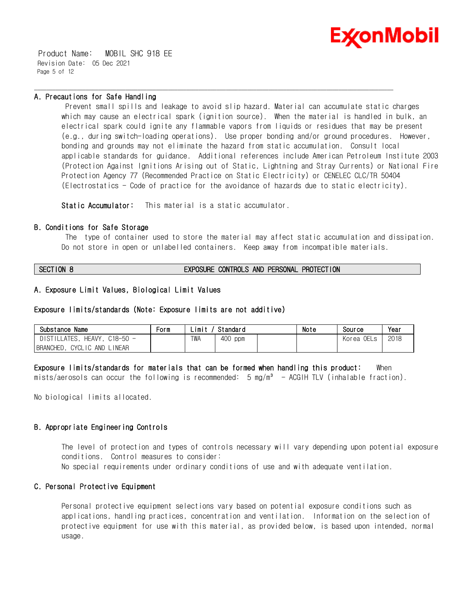

 Product Name: MOBIL SHC 918 EE Revision Date: 05 Dec 2021 Page 5 of 12

#### **A. Precautions for Safe Handling**

Prevent small spills and leakage to avoid slip hazard. Material can accumulate static charges which may cause an electrical spark (ignition source). When the material is handled in bulk, an electrical spark could ignite any flammable vapors from liquids or residues that may be present (e.g., during switch-loading operations). Use proper bonding and/or ground procedures. However, bonding and grounds may not eliminate the hazard from static accumulation. Consult local applicable standards for guidance. Additional references include American Petroleum Institute 2003 (Protection Against Ignitions Arising out of Static, Lightning and Stray Currents) or National Fire Protection Agency 77 (Recommended Practice on Static Electricity) or CENELEC CLC/TR 50404 (Electrostatics - Code of practice for the avoidance of hazards due to static electricity).

\_\_\_\_\_\_\_\_\_\_\_\_\_\_\_\_\_\_\_\_\_\_\_\_\_\_\_\_\_\_\_\_\_\_\_\_\_\_\_\_\_\_\_\_\_\_\_\_\_\_\_\_\_\_\_\_\_\_\_\_\_\_\_\_\_\_\_\_\_\_\_\_\_\_\_\_\_\_\_\_\_\_\_\_\_\_\_\_\_\_\_\_\_\_\_\_\_\_\_\_\_\_\_\_\_\_\_\_\_\_\_\_\_\_\_\_\_\_

**Static Accumulator:** This material is a static accumulator.

#### **B. Conditions for Safe Storage**

The type of container used to store the material may affect static accumulation and dissipation. Do not store in open or unlabelled containers. Keep away from incompatible materials.

**SECTION 8 EXPOSURE CONTROLS AND PERSONAL PROTECTION**

### **A. Exposure Limit Values, Biological Limit Values**

#### **Exposure limits/standards (Note: Exposure limits are not additive)**

| Substance<br>Name                                 | Form | Standard<br>∟imi |            |  | Note | Sour ce                  | Year |
|---------------------------------------------------|------|------------------|------------|--|------|--------------------------|------|
| DISTILLATES.<br>HEAVY.<br>$C18 - 50 -$            |      | <b>TWA</b>       | 400<br>ppm |  |      | 0ELs<br>Korea<br>$\circ$ | 2018 |
| <b>BRANCHED</b><br>LINEAR<br><b>CYCLIC</b><br>AND |      |                  |            |  |      |                          |      |

### **Exposure limits/standards for materials that can be formed when handling this product:** When

mists/aerosols can occur the following is recommended:  $5 \text{ mg/m}^3$  - ACGIH TLV (inhalable fraction).

No biological limits allocated.

### **B. Appropriate Engineering Controls**

The level of protection and types of controls necessary will vary depending upon potential exposure conditions. Control measures to consider:

No special requirements under ordinary conditions of use and with adequate ventilation.

## **C. Personal Protective Equipment**

Personal protective equipment selections vary based on potential exposure conditions such as applications, handling practices, concentration and ventilation. Information on the selection of protective equipment for use with this material, as provided below, is based upon intended, normal usage.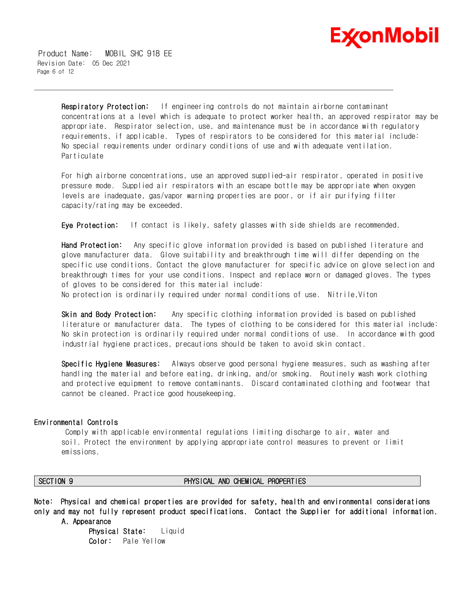

 Product Name: MOBIL SHC 918 EE Revision Date: 05 Dec 2021 Page 6 of 12

> **Respiratory Protection:** If engineering controls do not maintain airborne contaminant concentrations at a level which is adequate to protect worker health, an approved respirator may be appropriate. Respirator selection, use, and maintenance must be in accordance with regulatory requirements, if applicable. Types of respirators to be considered for this material include: No special requirements under ordinary conditions of use and with adequate ventilation. Particulate

For high airborne concentrations, use an approved supplied-air respirator, operated in positive pressure mode. Supplied air respirators with an escape bottle may be appropriate when oxygen levels are inadequate, gas/vapor warning properties are poor, or if air purifying filter capacity/rating may be exceeded.

**Eye Protection:** If contact is likely, safety glasses with side shields are recommended.

\_\_\_\_\_\_\_\_\_\_\_\_\_\_\_\_\_\_\_\_\_\_\_\_\_\_\_\_\_\_\_\_\_\_\_\_\_\_\_\_\_\_\_\_\_\_\_\_\_\_\_\_\_\_\_\_\_\_\_\_\_\_\_\_\_\_\_\_\_\_\_\_\_\_\_\_\_\_\_\_\_\_\_\_\_\_\_\_\_\_\_\_\_\_\_\_\_\_\_\_\_\_\_\_\_\_\_\_\_\_\_\_\_\_\_\_\_\_

**Hand Protection:** Any specific glove information provided is based on published literature and glove manufacturer data. Glove suitability and breakthrough time will differ depending on the specific use conditions. Contact the glove manufacturer for specific advice on glove selection and breakthrough times for your use conditions. Inspect and replace worn or damaged gloves. The types of gloves to be considered for this material include:

No protection is ordinarily required under normal conditions of use. Nitrile,Viton

**Skin and Body Protection:** Any specific clothing information provided is based on published literature or manufacturer data. The types of clothing to be considered for this material include: No skin protection is ordinarily required under normal conditions of use. In accordance with good industrial hygiene practices, precautions should be taken to avoid skin contact.

**Specific Hygiene Measures:** Always observe good personal hygiene measures, such as washing after handling the material and before eating, drinking, and/or smoking. Routinely wash work clothing and protective equipment to remove contaminants. Discard contaminated clothing and footwear that cannot be cleaned. Practice good housekeeping.

#### **Environmental Controls**

Comply with applicable environmental regulations limiting discharge to air, water and soil. Protect the environment by applying appropriate control measures to prevent or limit emissions.

#### **SECTION 9 PHYSICAL AND CHEMICAL PROPERTIES**

**Note: Physical and chemical properties are provided for safety, health and environmental considerations only and may not fully represent product specifications. Contact the Supplier for additional information.** 

 **A. Appearance**

**Physical State:** Liquid **Color:** Pale Yellow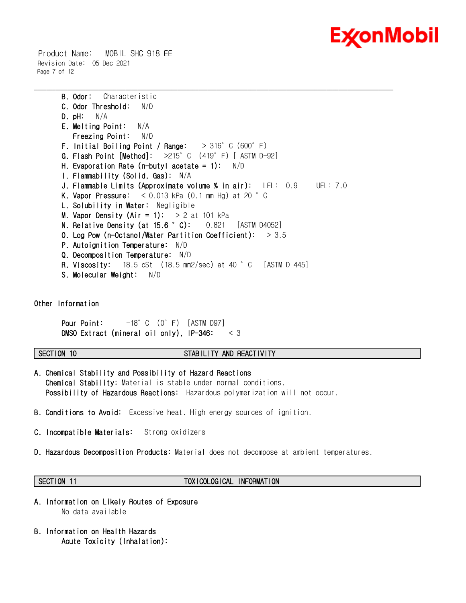

 Product Name: MOBIL SHC 918 EE Revision Date: 05 Dec 2021 Page 7 of 12

```
B. Odor: Characteristic
C. Odor Threshold: N/D
D. pH: N/A
E. Melting Point: N/A
   Freezing Point: N/D
 F. Initial Boiling Point / Range: > 316°C (600°F)
G. Flash Point [Method]: >215°C (419°F) [ ASTM D-92]
H. Evaporation Rate (n-butyl acetate = 1): N/D 
I. Flammability (Solid, Gas): N/A
J. Flammable Limits (Approximate volume % in air): LEL: 0.9 UEL: 7.0
K. Vapor Pressure: < 0.013 kPa (0.1 mm Hg) at 20 °C
 L. Solubility in Water: Negligible
M. Vapor Density (Air = 1): > 2 at 101 kPa
N. Relative Density (at 15.6 °C): 0.821 [ASTM D4052]
O. Log Pow (n-Octanol/Water Partition Coefficient): > 3.5
P. Autoignition Temperature: N/D
Q. Decomposition Temperature: N/D
R. Viscosity: 18.5 cSt (18.5 mm2/sec) at 40 °C [ASTM D 445]
S. Molecular Weight: N/D
```
\_\_\_\_\_\_\_\_\_\_\_\_\_\_\_\_\_\_\_\_\_\_\_\_\_\_\_\_\_\_\_\_\_\_\_\_\_\_\_\_\_\_\_\_\_\_\_\_\_\_\_\_\_\_\_\_\_\_\_\_\_\_\_\_\_\_\_\_\_\_\_\_\_\_\_\_\_\_\_\_\_\_\_\_\_\_\_\_\_\_\_\_\_\_\_\_\_\_\_\_\_\_\_\_\_\_\_\_\_\_\_\_\_\_\_\_\_\_

**Other Information**

**Pour Point:**  $-18^\circ$  C (0°F) [ASTM D97] **DMSO Extract (mineral oil only), IP-346:** < 3

# **SECTION 10 STABILITY AND REACTIVITY**

- **A. Chemical Stability and Possibility of Hazard Reactions Chemical Stability:** Material is stable under normal conditions.  **Possibility of Hazardous Reactions:** Hazardous polymerization will not occur.
- **B. Conditions to Avoid:** Excessive heat. High energy sources of ignition.
- **C. Incompatible Materials:** Strong oxidizers
- **D. Hazardous Decomposition Products:** Material does not decompose at ambient temperatures.

# **SECTION 11 TOXICOLOGICAL INFORMATION**

- **A. Information on Likely Routes of Exposure**  No data available
- **B. Information on Health Hazards Acute Toxicity (Inhalation):**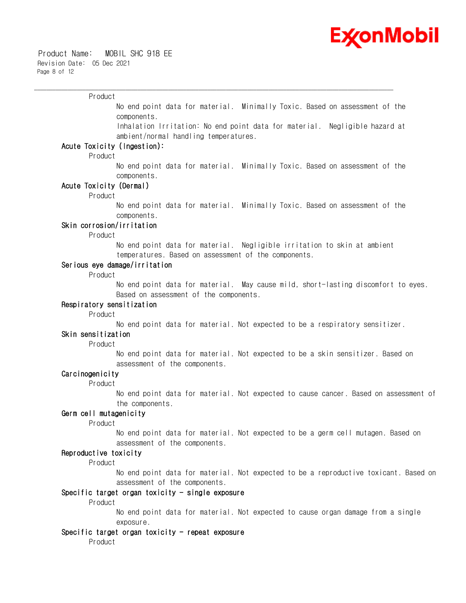

#### Product

No end point data for material. Minimally Toxic. Based on assessment of the components.

\_\_\_\_\_\_\_\_\_\_\_\_\_\_\_\_\_\_\_\_\_\_\_\_\_\_\_\_\_\_\_\_\_\_\_\_\_\_\_\_\_\_\_\_\_\_\_\_\_\_\_\_\_\_\_\_\_\_\_\_\_\_\_\_\_\_\_\_\_\_\_\_\_\_\_\_\_\_\_\_\_\_\_\_\_\_\_\_\_\_\_\_\_\_\_\_\_\_\_\_\_\_\_\_\_\_\_\_\_\_\_\_\_\_\_\_\_\_

Inhalation Irritation: No end point data for material. Negligible hazard at ambient/normal handling temperatures.

#### **Acute Toxicity (Ingestion):**

Product

No end point data for material. Minimally Toxic. Based on assessment of the components.

#### **Acute Toxicity (Dermal)**

Product

No end point data for material. Minimally Toxic. Based on assessment of the components.

#### **Skin corrosion/irritation**

Product

No end point data for material. Negligible irritation to skin at ambient temperatures. Based on assessment of the components.

### **Serious eye damage/irritation**

Product

No end point data for material. May cause mild, short-lasting discomfort to eyes. Based on assessment of the components.

### **Respiratory sensitization**

Product

No end point data for material. Not expected to be a respiratory sensitizer.

### **Skin sensitization**

Product

No end point data for material. Not expected to be a skin sensitizer. Based on assessment of the components.

#### **Carcinogenicity**

Product

No end point data for material. Not expected to cause cancer. Based on assessment of the components.

#### **Germ cell mutagenicity**

Product

No end point data for material. Not expected to be a germ cell mutagen. Based on assessment of the components.

# **Reproductive toxicity**

Product

No end point data for material. Not expected to be a reproductive toxicant. Based on assessment of the components.

#### **Specific target organ toxicity - single exposure**

Product

No end point data for material. Not expected to cause organ damage from a single exposure.

#### **Specific target organ toxicity - repeat exposure**

Product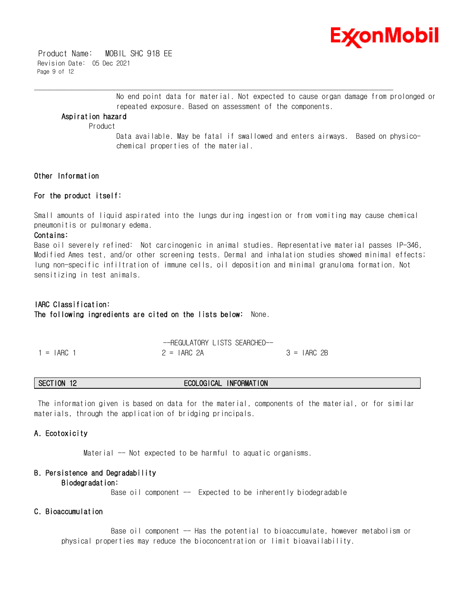

 Product Name: MOBIL SHC 918 EE Revision Date: 05 Dec 2021 Page 9 of 12

> No end point data for material. Not expected to cause organ damage from prolonged or repeated exposure. Based on assessment of the components.

#### **Aspiration hazard**

Product

Data available. May be fatal if swallowed and enters airways. Based on physicochemical properties of the material.

### **Other Information**

#### **For the product itself:**

Small amounts of liquid aspirated into the lungs during ingestion or from vomiting may cause chemical pneumonitis or pulmonary edema.

\_\_\_\_\_\_\_\_\_\_\_\_\_\_\_\_\_\_\_\_\_\_\_\_\_\_\_\_\_\_\_\_\_\_\_\_\_\_\_\_\_\_\_\_\_\_\_\_\_\_\_\_\_\_\_\_\_\_\_\_\_\_\_\_\_\_\_\_\_\_\_\_\_\_\_\_\_\_\_\_\_\_\_\_\_\_\_\_\_\_\_\_\_\_\_\_\_\_\_\_\_\_\_\_\_\_\_\_\_\_\_\_\_\_\_\_\_\_

#### **Contains:**

Base oil severely refined: Not carcinogenic in animal studies. Representative material passes IP-346, Modified Ames test, and/or other screening tests. Dermal and inhalation studies showed minimal effects; lung non-specific infiltration of immune cells, oil deposition and minimal granuloma formation. Not sensitizing in test animals.

# **IARC Classification: The following ingredients are cited on the lists below:** None.

|              | -REGULATORY LISTS SEARCHED-- |              |
|--------------|------------------------------|--------------|
| $1 = IARG$ 1 | $2 = IARC 2A$                | $3 = IARG2B$ |

#### **SECTION 12 ECOLOGICAL INFORMATION**

The information given is based on data for the material, components of the material, or for similar materials, through the application of bridging principals.

#### **A. Ecotoxicity**

Material -- Not expected to be harmful to aquatic organisms.

# **B. Persistence and Degradability**

# **Biodegradation:**

Base oil component  $-$  Expected to be inherently biodegradable

# **C. Bioaccumulation**

Base oil component -- Has the potential to bioaccumulate, however metabolism or physical properties may reduce the bioconcentration or limit bioavailability.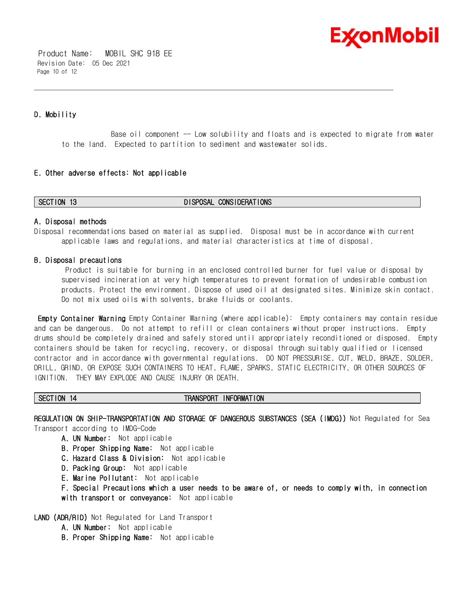

 Product Name: MOBIL SHC 918 EE Revision Date: 05 Dec 2021 Page 10 of 12

# **D. Mobility**

Base oil component -- Low solubility and floats and is expected to migrate from water to the land. Expected to partition to sediment and wastewater solids.

### **E. Other adverse effects: Not applicable**

#### **SECTION 13 DISPOSAL CONSIDERATIONS**

#### **A. Disposal methods**

Disposal recommendations based on material as supplied. Disposal must be in accordance with current applicable laws and regulations, and material characteristics at time of disposal.

\_\_\_\_\_\_\_\_\_\_\_\_\_\_\_\_\_\_\_\_\_\_\_\_\_\_\_\_\_\_\_\_\_\_\_\_\_\_\_\_\_\_\_\_\_\_\_\_\_\_\_\_\_\_\_\_\_\_\_\_\_\_\_\_\_\_\_\_\_\_\_\_\_\_\_\_\_\_\_\_\_\_\_\_\_\_\_\_\_\_\_\_\_\_\_\_\_\_\_\_\_\_\_\_\_\_\_\_\_\_\_\_\_\_\_\_\_\_

#### **B. Disposal precautions**

Product is suitable for burning in an enclosed controlled burner for fuel value or disposal by supervised incineration at very high temperatures to prevent formation of undesirable combustion products. Protect the environment. Dispose of used oil at designated sites. Minimize skin contact. Do not mix used oils with solvents, brake fluids or coolants.

**Empty Container Warning** Empty Container Warning (where applicable): Empty containers may contain residue and can be dangerous. Do not attempt to refill or clean containers without proper instructions. Empty drums should be completely drained and safely stored until appropriately reconditioned or disposed. Empty containers should be taken for recycling, recovery, or disposal through suitably qualified or licensed contractor and in accordance with governmental regulations. DO NOT PRESSURISE, CUT, WELD, BRAZE, SOLDER, DRILL, GRIND, OR EXPOSE SUCH CONTAINERS TO HEAT, FLAME, SPARKS, STATIC ELECTRICITY, OR OTHER SOURCES OF IGNITION. THEY MAY EXPLODE AND CAUSE INJURY OR DEATH.

#### SECTION 14 **TRANSPORT INFORMATION**

**REGULATION ON SHIP-TRANSPORTATION AND STORAGE OF DANGEROUS SUBSTANCES (SEA (IMDG))** Not Regulated for Sea Transport according to IMDG-Code

- **A. UN Number:** Not applicable
- **B. Proper Shipping Name:** Not applicable
- **C. Hazard Class & Division:** Not applicable
- **D. Packing Group:** Not applicable
- **E. Marine Pollutant:** Not applicable
- **F. Special Precautions which a user needs to be aware of, or needs to comply with, in connection with transport or conveyance:** Not applicable
- **LAND (ADR/RID)** Not Regulated for Land Transport
	- **A. UN Number:** Not applicable
	- **B. Proper Shipping Name:** Not applicable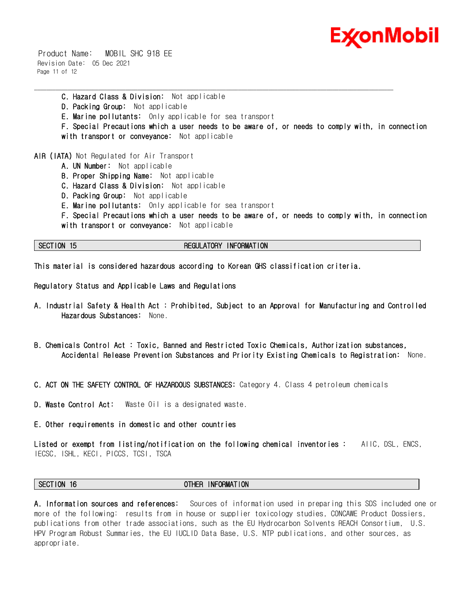

 Product Name: MOBIL SHC 918 EE Revision Date: 05 Dec 2021 Page 11 of 12

\_\_\_\_\_\_\_\_\_\_\_\_\_\_\_\_\_\_\_\_\_\_\_\_\_\_\_\_\_\_\_\_\_\_\_\_\_\_\_\_\_\_\_\_\_\_\_\_\_\_\_\_\_\_\_\_\_\_\_\_\_\_\_\_\_\_\_\_\_\_\_\_\_\_\_\_\_\_\_\_\_\_\_\_\_\_\_\_\_\_\_\_\_\_\_\_\_\_\_\_\_\_\_\_\_\_\_\_\_\_\_\_\_\_\_\_\_\_ **C. Hazard Class & Division:** Not applicable **D. Packing Group:** Not applicable **E. Marine pollutants:** Only applicable for sea transport **F. Special Precautions which a user needs to be aware of, or needs to comply with, in connection with transport or conveyance:** Not applicable

**AIR (IATA)** Not Regulated for Air Transport

- **A. UN Number:** Not applicable
- **B. Proper Shipping Name:** Not applicable
- **C. Hazard Class & Division:** Not applicable
- **D. Packing Group:** Not applicable
- **E. Marine pollutants:** Only applicable for sea transport

**F. Special Precautions which a user needs to be aware of, or needs to comply with, in connection with transport or conveyance:** Not applicable

#### **SECTION 15 REGULATORY INFORMATION**

**This material is considered hazardous according to Korean GHS classification criteria.** 

**Regulatory Status and Applicable Laws and Regulations** 

- **A. Industrial Safety & Health Act : Prohibited, Subject to an Approval for Manufacturing and Controlled Hazardous Substances:** None.
- **B. Chemicals Control Act : Toxic, Banned and Restricted Toxic Chemicals, Authorization substances, Accidental Release Prevention Substances and Priority Existing Chemicals to Registration:** None.
- **C. ACT ON THE SAFETY CONTROL OF HAZARDOUS SUBSTANCES:** Category 4. Class 4 petroleum chemicals
- **D. Waste Control Act:** Waste Oil is a designated waste.
- **E. Other requirements in domestic and other countries**

**Listed or exempt from listing/notification on the following chemical inventories :** AIIC, DSL, ENCS, IECSC, ISHL, KECI, PICCS, TCSI, TSCA

**SECTION 16 OTHER INFORMATION**

**A. Information sources and references:** Sources of information used in preparing this SDS included one or more of the following: results from in house or supplier toxicology studies, CONCAWE Product Dossiers, publications from other trade associations, such as the EU Hydrocarbon Solvents REACH Consortium, U.S. HPV Program Robust Summaries, the EU IUCLID Data Base, U.S. NTP publications, and other sources, as appropriate.